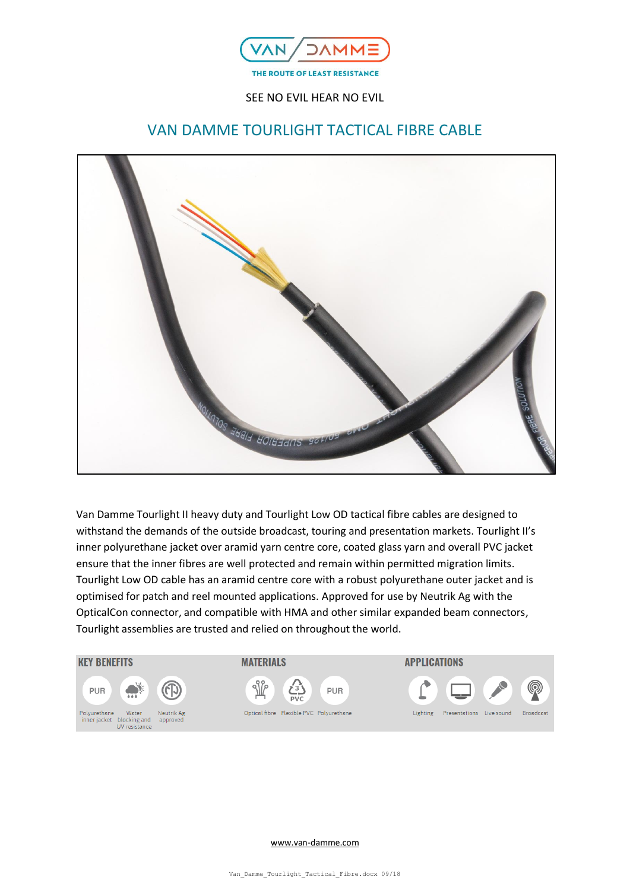

# VAN DAMME TOURLIGHT TACTICAL FIBRE CABLE



Van Damme Tourlight II heavy duty and Tourlight Low OD tactical fibre cables are designed to withstand the demands of the outside broadcast, touring and presentation markets. Tourlight II's inner polyurethane jacket over aramid yarn centre core, coated glass yarn and overall PVC jacket ensure that the inner fibres are well protected and remain within permitted migration limits. Tourlight Low OD cable has an aramid centre core with a robust polyurethane outer jacket and is optimised for patch and reel mounted applications. Approved for use by Neutrik Ag with the OpticalCon connector, and compatible with HMA and other similar expanded beam connectors, Tourlight assemblies are trusted and relied on throughout the world.

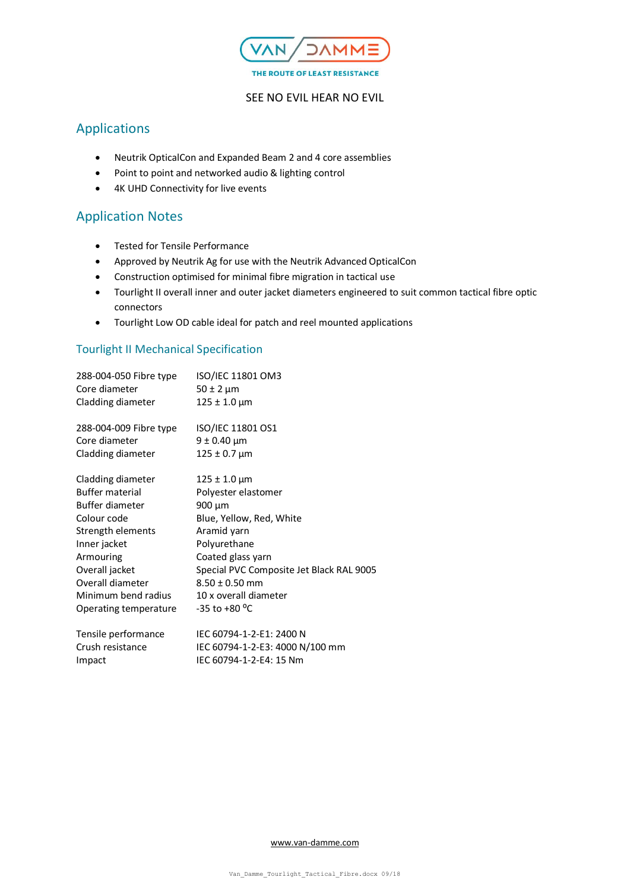

# Applications

- Neutrik OpticalCon and Expanded Beam 2 and 4 core assemblies
- Point to point and networked audio & lighting control
- 4K UHD Connectivity for live events

## Application Notes

- Tested for Tensile Performance
- Approved by Neutrik Ag for use with the Neutrik Advanced OpticalCon
- Construction optimised for minimal fibre migration in tactical use
- Tourlight II overall inner and outer jacket diameters engineered to suit common tactical fibre optic connectors
- Tourlight Low OD cable ideal for patch and reel mounted applications

### Tourlight II Mechanical Specification

| 288-004-050 Fibre type<br>Core diameter | ISO/IEC 11801 OM3<br>$50 \pm 2 \mu m$    |
|-----------------------------------------|------------------------------------------|
| Cladding diameter                       | $125 \pm 1.0 \,\mu m$                    |
| 288-004-009 Fibre type                  | ISO/IEC 11801 OS1                        |
| Core diameter                           | $9 \pm 0.40 \mu m$                       |
| Cladding diameter                       | $125 \pm 0.7 \,\mu m$                    |
| Cladding diameter                       | $125 \pm 1.0 \,\mu m$                    |
| <b>Buffer material</b>                  | Polyester elastomer                      |
| Buffer diameter                         | 900 µm                                   |
| Colour code                             | Blue, Yellow, Red, White                 |
| Strength elements                       | Aramid yarn                              |
| Inner jacket                            | Polyurethane                             |
| Armouring                               | Coated glass yarn                        |
| Overall jacket                          | Special PVC Composite Jet Black RAL 9005 |
| Overall diameter                        | $8.50 \pm 0.50$ mm                       |
| Minimum bend radius                     | 10 x overall diameter                    |
| Operating temperature                   | -35 to +80 °C                            |
| Tensile performance                     | IEC 60794-1-2-E1: 2400 N                 |
| Crush resistance                        | IEC 60794-1-2-E3: 4000 N/100 mm          |

Impact IEC 60794-1-2-E4: 15 Nm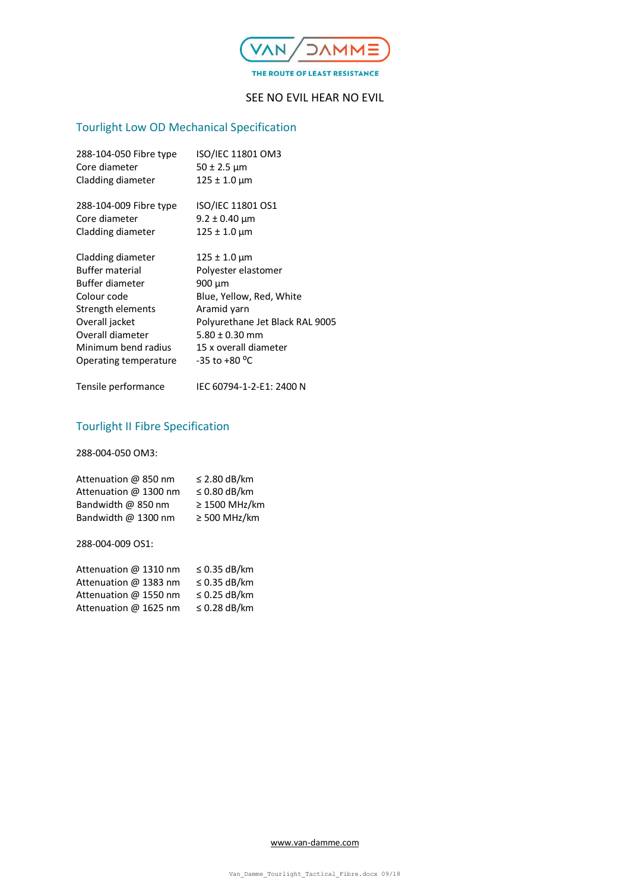

# Tourlight Low OD Mechanical Specification

| 288-104-050 Fibre type<br>Core diameter | ISO/IEC 11801 OM3<br>50 ± 2.5 µm |
|-----------------------------------------|----------------------------------|
| Cladding diameter                       | 125 ± 1.0 µm                     |
| 288-104-009 Fibre type                  | ISO/IEC 11801 OS1                |
| Core diameter                           | $9.2 \pm 0.40$ µm                |
| Cladding diameter                       | 125 ± 1.0 μm                     |
| Cladding diameter                       | $125 \pm 1.0 \,\rm \mu m$        |
| <b>Buffer material</b>                  | Polyester elastomer              |
| Buffer diameter                         | 900 µm                           |
| Colour code                             | Blue, Yellow, Red, White         |
| Strength elements                       | Aramid yarn                      |
| Overall jacket                          | Polyurethane Jet Black RAL 9005  |
| Overall diameter                        | $5.80 \pm 0.30$ mm               |
| Minimum bend radius                     | 15 x overall diameter            |
| Operating temperature                   | $-35$ to $+80$ <sup>o</sup> C    |
| Tensile performance                     | IEC 60794-1-2-E1: 2400 N         |
|                                         |                                  |

# Tourlight II Fibre Specification

288-004-050 OM3:

| Attenuation @ 850 nm  | $\leq$ 2.80 dB/km |
|-----------------------|-------------------|
| Attenuation @ 1300 nm | $\leq$ 0.80 dB/km |
| Bandwidth @ 850 nm    | ≥ 1500 MHz/km     |
| Bandwidth @ 1300 nm   | $\geq$ 500 MHz/km |
|                       |                   |

288-004-009 OS1:

| Attenuation @ 1310 nm | $\leq$ 0.35 dB/km |
|-----------------------|-------------------|
| Attenuation @ 1383 nm | $\leq$ 0.35 dB/km |
| Attenuation @ 1550 nm | $\leq$ 0.25 dB/km |
| Attenuation @ 1625 nm | $\leq$ 0.28 dB/km |